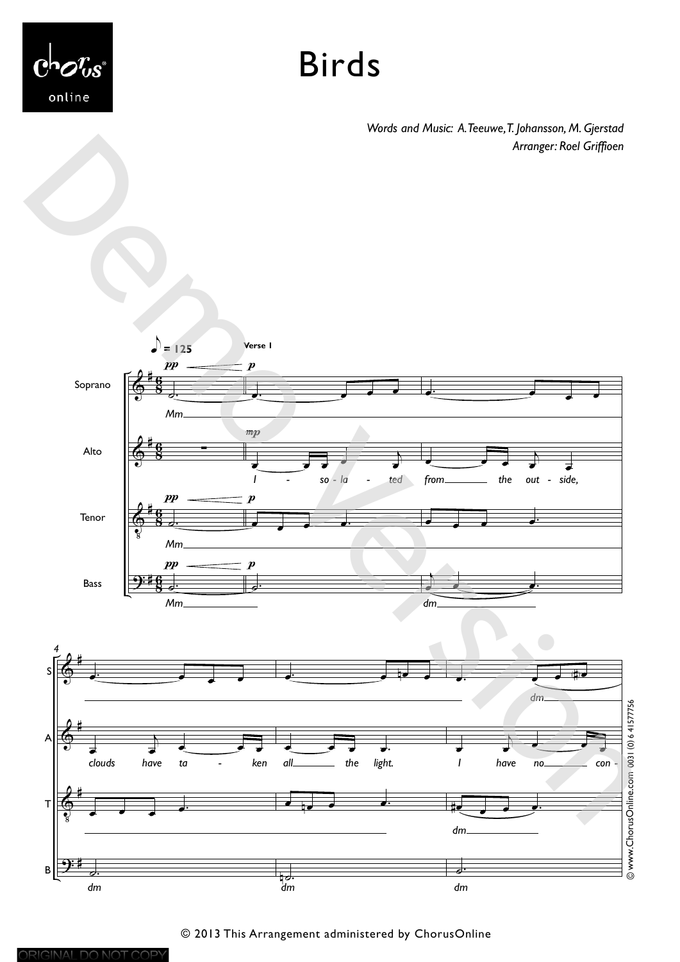

ORIGINAL DO NOT COPY

## Birds

*Words and Music: A. Teeuwe, T. Johansson, M. Gjerstad Arranger: Roel Griffioen*

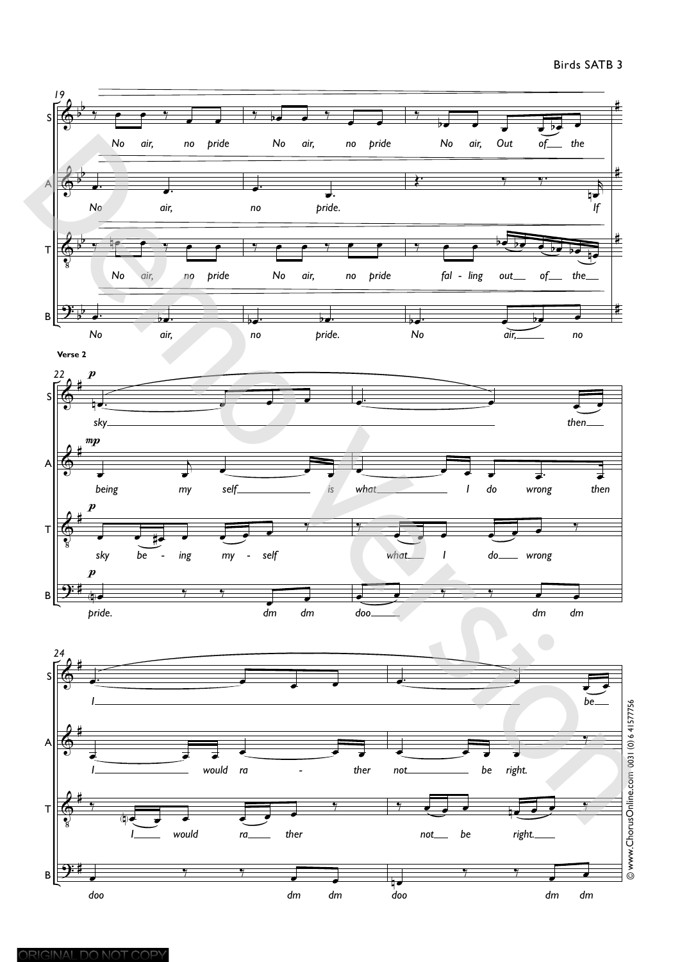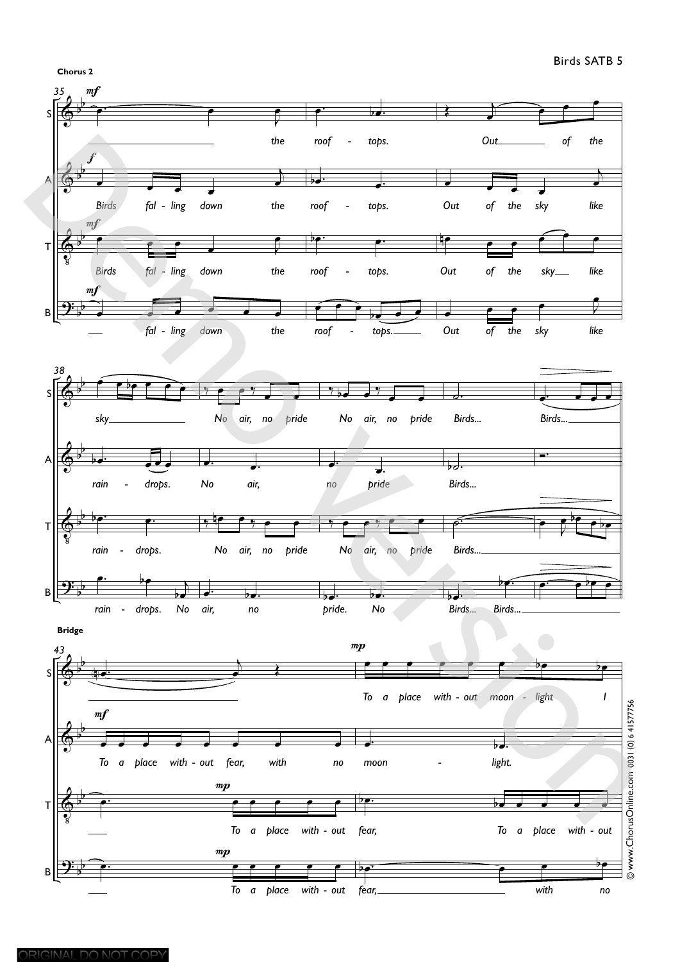